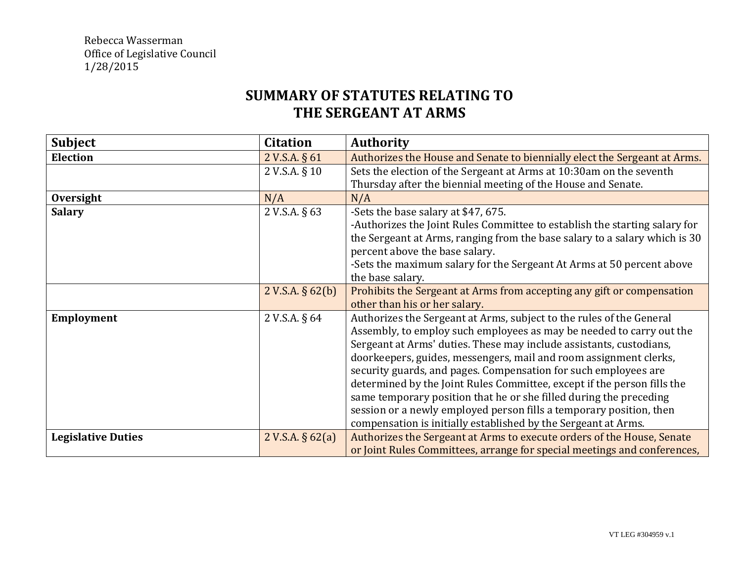## **SUMMARY OF STATUTES RELATING TO THE SERGEANT AT ARMS**

| <b>Subject</b>            | <b>Citation</b>     | <b>Authority</b>                                                           |
|---------------------------|---------------------|----------------------------------------------------------------------------|
| <b>Election</b>           | 2 V.S.A. § 61       | Authorizes the House and Senate to biennially elect the Sergeant at Arms.  |
|                           | 2 V.S.A. § 10       | Sets the election of the Sergeant at Arms at 10:30am on the seventh        |
|                           |                     | Thursday after the biennial meeting of the House and Senate.               |
| Oversight                 | N/A                 | N/A                                                                        |
| <b>Salary</b>             | 2 V.S.A. § 63       | -Sets the base salary at \$47, 675.                                        |
|                           |                     | -Authorizes the Joint Rules Committee to establish the starting salary for |
|                           |                     | the Sergeant at Arms, ranging from the base salary to a salary which is 30 |
|                           |                     | percent above the base salary.                                             |
|                           |                     | -Sets the maximum salary for the Sergeant At Arms at 50 percent above      |
|                           |                     | the base salary.                                                           |
|                           | 2 V.S.A. $\S$ 62(b) | Prohibits the Sergeant at Arms from accepting any gift or compensation     |
|                           |                     | other than his or her salary.                                              |
| <b>Employment</b>         | 2 V.S.A. § 64       | Authorizes the Sergeant at Arms, subject to the rules of the General       |
|                           |                     | Assembly, to employ such employees as may be needed to carry out the       |
|                           |                     | Sergeant at Arms' duties. These may include assistants, custodians,        |
|                           |                     | doorkeepers, guides, messengers, mail and room assignment clerks,          |
|                           |                     | security guards, and pages. Compensation for such employees are            |
|                           |                     | determined by the Joint Rules Committee, except if the person fills the    |
|                           |                     | same temporary position that he or she filled during the preceding         |
|                           |                     | session or a newly employed person fills a temporary position, then        |
|                           |                     | compensation is initially established by the Sergeant at Arms.             |
| <b>Legislative Duties</b> | 2 V.S.A. $\S$ 62(a) | Authorizes the Sergeant at Arms to execute orders of the House, Senate     |
|                           |                     | or Joint Rules Committees, arrange for special meetings and conferences,   |